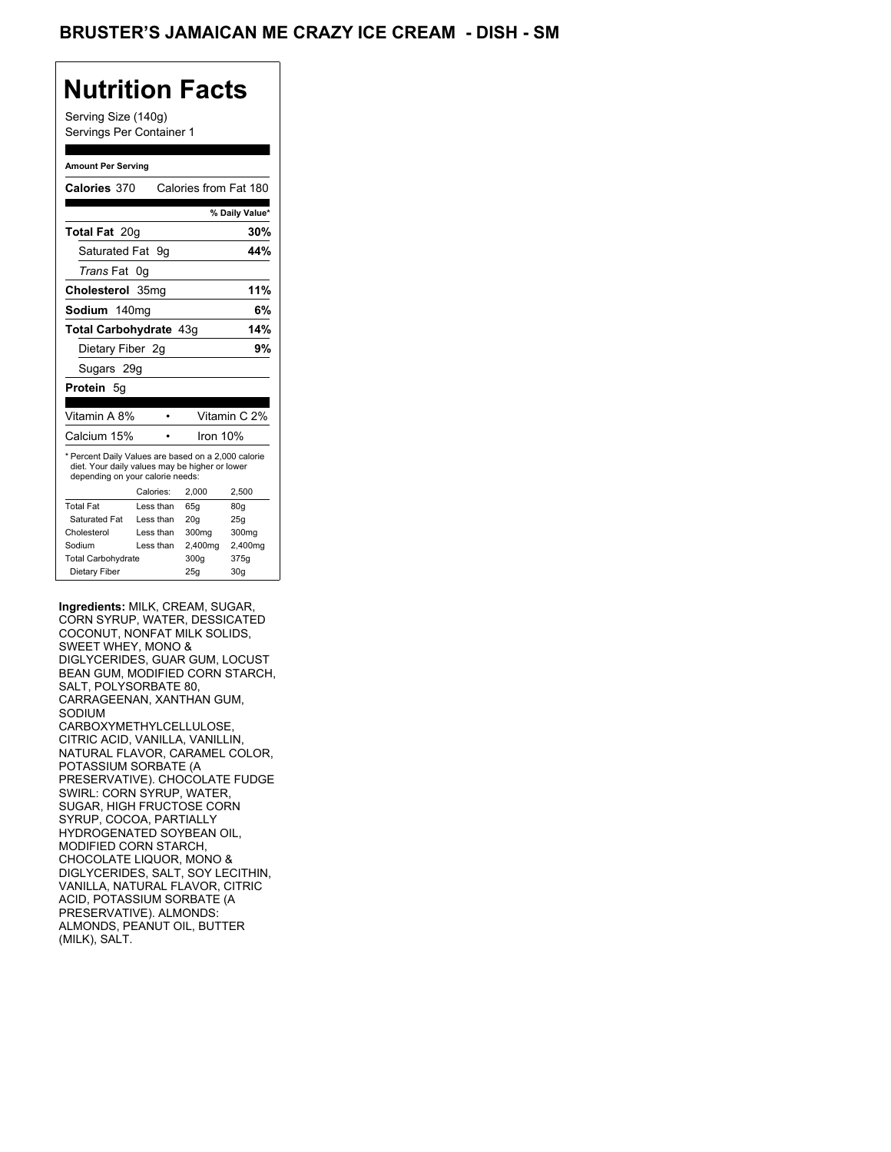Serving Size (140g) Servings Per Container 1

#### **Amount Per Serving**

| Calories 370                                                                                                                              |           |           |         | Calories from Fat 180 |
|-------------------------------------------------------------------------------------------------------------------------------------------|-----------|-----------|---------|-----------------------|
|                                                                                                                                           |           |           |         |                       |
|                                                                                                                                           |           |           |         | % Daily Value*        |
| Total Fat 20g                                                                                                                             |           |           |         | 30%                   |
| Saturated Fat                                                                                                                             |           | 9g        |         | 44%                   |
| <i>Trans</i> Fat                                                                                                                          | 0g        |           |         |                       |
| Cholesterol 35mg                                                                                                                          |           |           |         | 11%                   |
| Sodium 140ma                                                                                                                              |           |           |         | 6%                    |
| Total Carbohydrate 43g                                                                                                                    |           |           |         | 14%                   |
| Dietary Fiber 2g                                                                                                                          |           |           |         | 9%                    |
| Sugars 29g                                                                                                                                |           |           |         |                       |
| <b>Protein</b> 5g                                                                                                                         |           |           |         |                       |
|                                                                                                                                           |           |           |         |                       |
| Vitamin A 8%                                                                                                                              |           | $\bullet$ |         | Vitamin C 2%          |
| Calcium 15%                                                                                                                               |           |           |         | Iron 10%              |
| * Percent Daily Values are based on a 2,000 calorie<br>diet. Your daily values may be higher or lower<br>depending on your calorie needs: |           |           |         |                       |
|                                                                                                                                           | Calories: |           | 2.000   | 2,500                 |
| <b>Total Fat</b>                                                                                                                          |           | Less than | 65q     | 80g                   |
| Saturated Fat                                                                                                                             |           | Less than | 20q     | 25q                   |
| Cholesterol                                                                                                                               |           | Less than | 300mg   | 300mg                 |
| Sodium                                                                                                                                    |           | Less than | 2,400mg | 2,400mg               |
| <b>Total Carbohydrate</b>                                                                                                                 |           |           | 300g    | 375g                  |
| Dietary Fiber                                                                                                                             |           |           | 25g     | 30 <sub>q</sub>       |

**Ingredients:** MILK, CREAM, SUGAR, CORN SYRUP, WATER, DESSICATED COCONUT, NONFAT MILK SOLIDS, SWEET WHEY, MONO & DIGLYCERIDES, GUAR GUM, LOCUST BEAN GUM, MODIFIED CORN STARCH, SALT, POLYSORBATE 80, CARRAGEENAN, XANTHAN GUM, SODIUM CARBOXYMETHYLCELLULOSE, CITRIC ACID, VANILLA, VANILLIN, NATURAL FLAVOR, CARAMEL COLOR, POTASSIUM SORBATE (A PRESERVATIVE). CHOCOLATE FUDGE SWIRL: CORN SYRUP, WATER, SUGAR, HIGH FRUCTOSE CORN SYRUP, COCOA, PARTIALLY HYDROGENATED SOYBEAN OIL, MODIFIED CORN STARCH, CHOCOLATE LIQUOR, MONO & DIGLYCERIDES, SALT, SOY LECITHIN, VANILLA, NATURAL FLAVOR, CITRIC ACID, POTASSIUM SORBATE (A PRESERVATIVE). ALMONDS: ALMONDS, PEANUT OIL, BUTTER (MILK), SALT.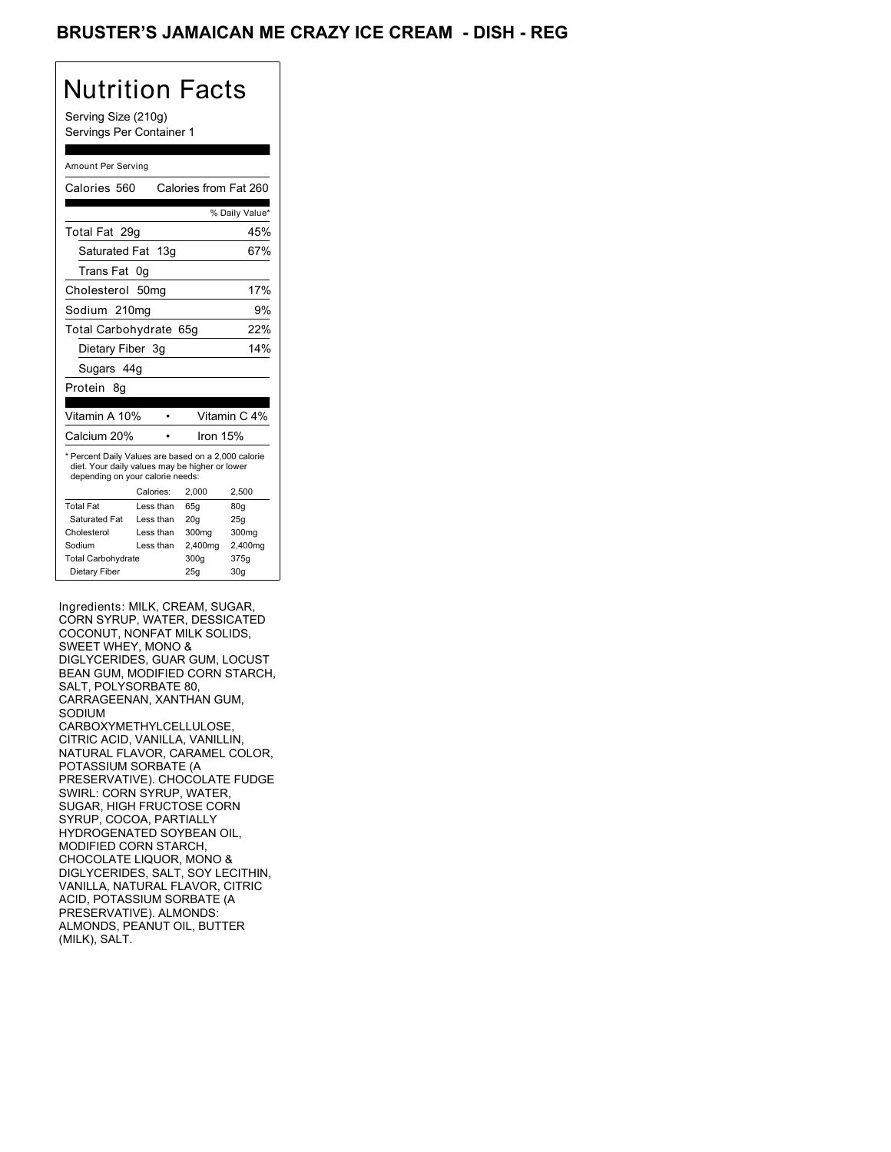### BRUSTER'S JAMAICAN ME CRAZY ICE CREAM - DISH - REG

# Nutrition Facts

Serving Size (210g) Servings Per Container 1

#### Amount Per Serving

| Calories 560                                                                                                                              |           |          | Calories from Fat 260 |
|-------------------------------------------------------------------------------------------------------------------------------------------|-----------|----------|-----------------------|
|                                                                                                                                           |           |          | % Daily Value*        |
| Total Fat 29g                                                                                                                             |           |          | 45%                   |
| Saturated Fat 13g                                                                                                                         |           |          | 67%                   |
| Trans Fat                                                                                                                                 | 0g        |          |                       |
| Cholesterol 50mg                                                                                                                          |           |          | 17%                   |
| Sodium 210mg                                                                                                                              |           |          | 9%                    |
| Total Carbohydrate 65g                                                                                                                    |           |          | 22%                   |
| Dietary Fiber 3g                                                                                                                          |           |          | 14%                   |
| Sugars 44g                                                                                                                                |           |          |                       |
| Protein<br>8q                                                                                                                             |           |          |                       |
|                                                                                                                                           |           |          |                       |
| Vitamin A 10%                                                                                                                             |           |          | Vitamin C 4%          |
| Calcium 20%                                                                                                                               |           | Iron 15% |                       |
| * Percent Daily Values are based on a 2,000 calorie<br>diet. Your daily values may be higher or lower<br>depending on your calorie needs: |           |          |                       |
|                                                                                                                                           | Calories: | 2.000    | 2,500                 |
| <b>Total Fat</b>                                                                                                                          | Less than | 65q      | 80g                   |
| Saturated Fat                                                                                                                             | Less than | 20q      | 25g                   |
| Cholesterol                                                                                                                               | Less than | 300mg    | 300mg                 |
| Sodium                                                                                                                                    | Less than | 2,400mg  | 2,400mg               |
| <b>Total Carbohydrate</b>                                                                                                                 |           | 300q     | 375g                  |
| Dietary Fiber                                                                                                                             |           | 25g      | 30 <sub>q</sub>       |

Ingredients: MILK, CREAM, SUGAR, CORN SYRUP, WATER, DESSICATED COCONUT, NONFAT MILK SOLIDS, SWEET WHEY, MONO & DIGLYCERIDES, GUAR GUM, LOCUST BEAN GUM, MODIFIED CORN STARCH, SALT, POLYSORBATE 80, CARRAGEENAN, XANTHAN GUM, SODIUM CARBOXYMETHYLCELLULOSE, CITRIC ACID, VANILLA, VANILLIN, NATURAL FLAVOR, CARAMEL COLOR, POTASSIUM SORBATE (A PRESERVATIVE). CHOCOLATE FUDGE SWIRL: CORN SYRUP, WATER, SUGAR, HIGH FRUCTOSE CORN SYRUP, COCOA, PARTIALLY HYDROGENATED SOYBEAN OIL, MODIFIED CORN STARCH, CHOCOLATE LIQUOR, MONO & DIGLYCERIDES, SALT, SOY LECITHIN, VANILLA, NATURAL FLAVOR, CITRIC ACID, POTASSIUM SORBATE (A PRESERVATIVE). ALMONDS: ALMONDS, PEANUT OIL, BUTTER (MILK), SALT.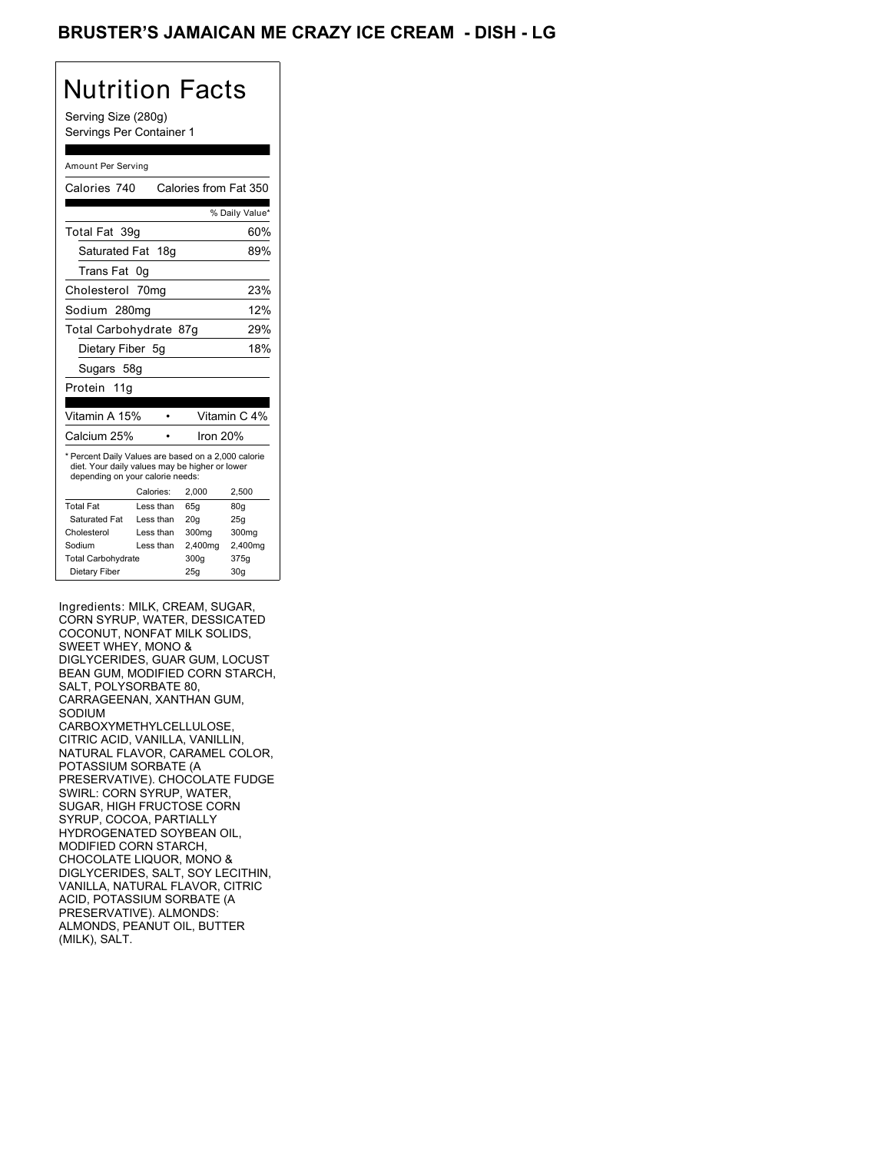### BRUSTER'S JAMAICAN ME CRAZY ICE CREAM - DISH - LG

# Nutrition Facts

Serving Size (280g) Servings Per Container 1

#### Amount Per Serving

| Calories 740                                                                                                                              |           | Calories from Fat 350 |                 |
|-------------------------------------------------------------------------------------------------------------------------------------------|-----------|-----------------------|-----------------|
|                                                                                                                                           |           |                       | % Daily Value*  |
| Total Fat 39q                                                                                                                             |           |                       | 60%             |
| Saturated Fat 18g                                                                                                                         |           |                       | 89%             |
| Trans Fat                                                                                                                                 | 0g        |                       |                 |
| Cholesterol 70mg                                                                                                                          |           |                       | 23%             |
| Sodium 280mg                                                                                                                              |           |                       | 12%             |
| Total Carbohydrate 87g                                                                                                                    |           |                       | 29%             |
| Dietary Fiber 5q                                                                                                                          |           |                       | 18%             |
| Sugars 58g                                                                                                                                |           |                       |                 |
| Protein 11g                                                                                                                               |           |                       |                 |
|                                                                                                                                           |           |                       |                 |
| Vitamin A 15%                                                                                                                             |           |                       | Vitamin C 4%    |
| Calcium 25%                                                                                                                               |           | Iron 20%              |                 |
| * Percent Daily Values are based on a 2,000 calorie<br>diet. Your daily values may be higher or lower<br>depending on your calorie needs: |           |                       |                 |
|                                                                                                                                           | Calories: | 2.000                 | 2,500           |
| <b>Total Fat</b>                                                                                                                          | Less than | 65q                   | 80q             |
| Saturated Fat                                                                                                                             | Less than | 20q                   | 25q             |
| Cholesterol                                                                                                                               | Less than | 300mg                 | 300mg           |
| Sodium                                                                                                                                    | Less than | 2,400mg               | 2,400mg         |
| <b>Total Carbohydrate</b>                                                                                                                 |           | 300q                  | 375g            |
| Dietary Fiber                                                                                                                             |           | 25q                   | 30 <sub>g</sub> |

Ingredients: MILK, CREAM, SUGAR, CORN SYRUP, WATER, DESSICATED COCONUT, NONFAT MILK SOLIDS, SWEET WHEY, MONO & DIGLYCERIDES, GUAR GUM, LOCUST BEAN GUM, MODIFIED CORN STARCH, SALT, POLYSORBATE 80, CARRAGEENAN, XANTHAN GUM, SODIUM CARBOXYMETHYLCELLULOSE, CITRIC ACID, VANILLA, VANILLIN, NATURAL FLAVOR, CARAMEL COLOR, POTASSIUM SORBATE (A PRESERVATIVE). CHOCOLATE FUDGE SWIRL: CORN SYRUP, WATER, SUGAR, HIGH FRUCTOSE CORN SYRUP, COCOA, PARTIALLY HYDROGENATED SOYBEAN OIL, MODIFIED CORN STARCH, CHOCOLATE LIQUOR, MONO & DIGLYCERIDES, SALT, SOY LECITHIN, VANILLA, NATURAL FLAVOR, CITRIC ACID, POTASSIUM SORBATE (A PRESERVATIVE). ALMONDS: ALMONDS, PEANUT OIL, BUTTER (MILK), SALT.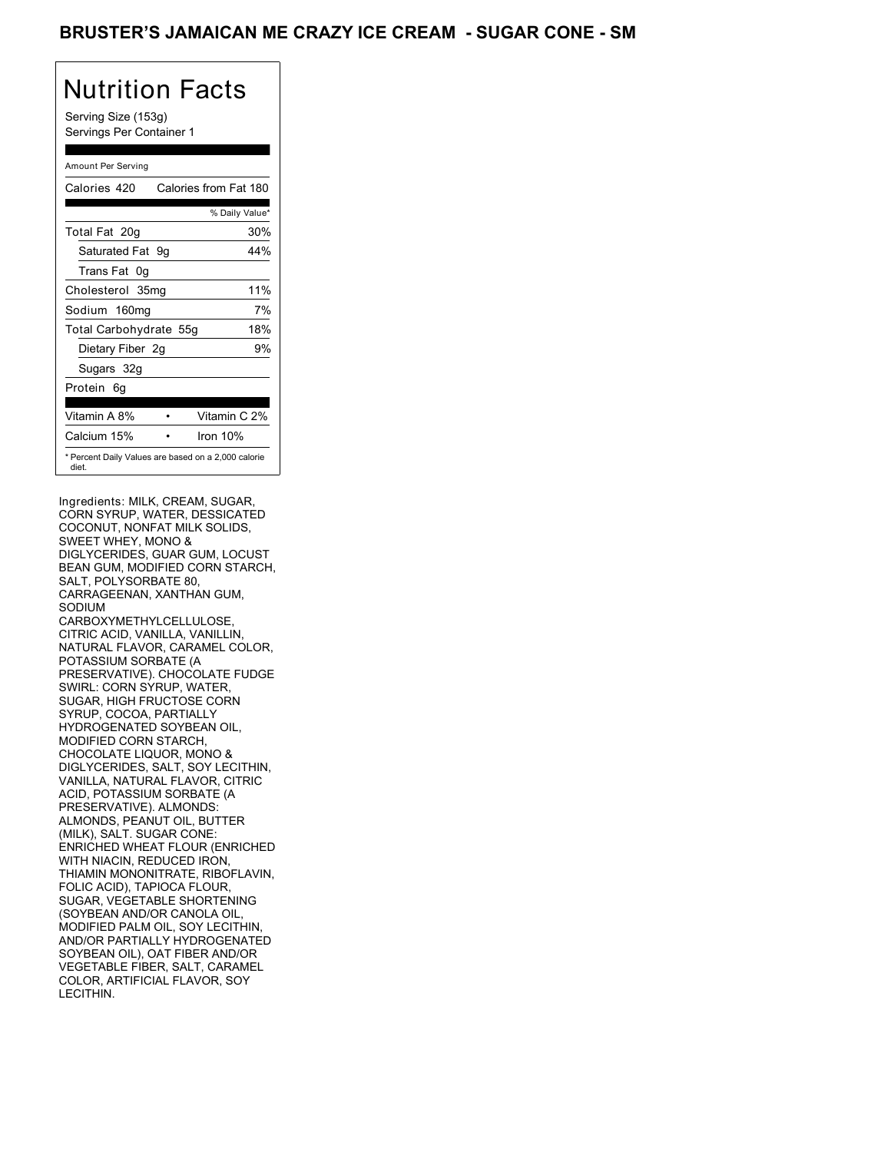Serving Size (153g) Servings Per Container 1

### Amount Per Serving

| Calories 420           | Calories from Fat 180                               |
|------------------------|-----------------------------------------------------|
|                        | % Daily Value*                                      |
| Total Fat 20g          | 30%                                                 |
| Saturated Fat 9q       | 44%                                                 |
| Trans Fat 0q           |                                                     |
| Cholesterol 35mg       | 11%                                                 |
| Sodium 160mg           | 7%                                                  |
| Total Carbohydrate 55g | 18%                                                 |
| Dietary Fiber 2g       | 9%                                                  |
| Sugars 32g             |                                                     |
| Protein 6q             |                                                     |
| Vitamin A 8%           | Vitamin C 2%                                        |
| Calcium 15%            | Iron 10%                                            |
| diet.                  | * Percent Daily Values are based on a 2,000 calorie |

Ingredients: MILK, CREAM, SUGAR, CORN SYRUP, WATER, DESSICATED COCONUT, NONFAT MILK SOLIDS, SWEET WHEY, MONO & DIGLYCERIDES, GUAR GUM, LOCUST BEAN GUM, MODIFIED CORN STARCH, SALT, POLYSORBATE 80, CARRAGEENAN, XANTHAN GUM, SODIUM CARBOXYMETHYLCELLULOSE, CITRIC ACID, VANILLA, VANILLIN, NATURAL FLAVOR, CARAMEL COLOR, POTASSIUM SORBATE (A PRESERVATIVE). CHOCOLATE FUDGE SWIRL: CORN SYRUP, WATER, SUGAR, HIGH FRUCTOSE CORN SYRUP, COCOA, PARTIALLY HYDROGENATED SOYBEAN OIL, MODIFIED CORN STARCH, CHOCOLATE LIQUOR, MONO & DIGLYCERIDES, SALT, SOY LECITHIN, VANILLA, NATURAL FLAVOR, CITRIC ACID, POTASSIUM SORBATE (A PRESERVATIVE). ALMONDS: ALMONDS, PEANUT OIL, BUTTER (MILK), SALT. SUGAR CONE: ENRICHED WHEAT FLOUR (ENRICHED WITH NIACIN, REDUCED IRON. THIAMIN MONONITRATE, RIBOFLAVIN, FOLIC ACID), TAPIOCA FLOUR, SUGAR, VEGETABLE SHORTENING (SOYBEAN AND/OR CANOLA OIL, MODIFIED PALM OIL, SOY LECITHIN, AND/OR PARTIALLY HYDROGENATED SOYBEAN OIL), OAT FIBER AND/OR VEGETABLE FIBER, SALT, CARAMEL COLOR, ARTIFICIAL FLAVOR, SOY LECITHIN.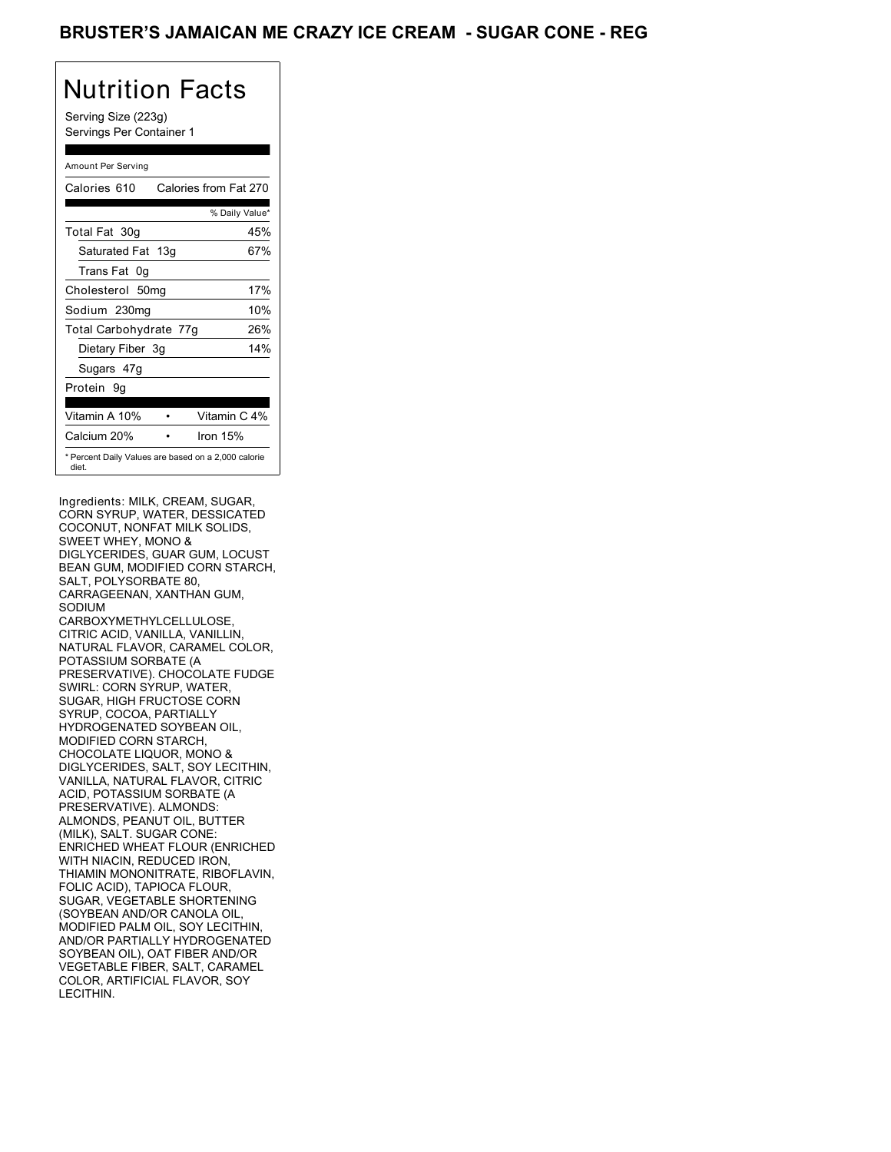Serving Size (223g) Servings Per Container 1

### Amount Per Serving

| Calories 610           | Calories from Fat 270                               |
|------------------------|-----------------------------------------------------|
|                        | % Daily Value*                                      |
| Total Fat 30g          | 45%                                                 |
| Saturated Fat 13g      | 67%                                                 |
| Trans Fat 0q           |                                                     |
| Cholesterol 50mg       | 17%                                                 |
| Sodium 230mg           | 10%                                                 |
| Total Carbohydrate 77g | 26%                                                 |
| Dietary Fiber 3g       | 14%                                                 |
| Sugars 47g             |                                                     |
| Protein 9q             |                                                     |
| Vitamin A 10%          | Vitamin C 4%                                        |
| Calcium 20%            | Iron $15%$                                          |
| diet.                  | * Percent Daily Values are based on a 2,000 calorie |

Ingredients: MILK, CREAM, SUGAR, CORN SYRUP, WATER, DESSICATED COCONUT, NONFAT MILK SOLIDS, SWEET WHEY, MONO & DIGLYCERIDES, GUAR GUM, LOCUST BEAN GUM, MODIFIED CORN STARCH, SALT, POLYSORBATE 80, CARRAGEENAN, XANTHAN GUM, SODIUM CARBOXYMETHYLCELLULOSE, CITRIC ACID, VANILLA, VANILLIN, NATURAL FLAVOR, CARAMEL COLOR, POTASSIUM SORBATE (A PRESERVATIVE). CHOCOLATE FUDGE SWIRL: CORN SYRUP, WATER, SUGAR, HIGH FRUCTOSE CORN SYRUP, COCOA, PARTIALLY HYDROGENATED SOYBEAN OIL, MODIFIED CORN STARCH, CHOCOLATE LIQUOR, MONO & DIGLYCERIDES, SALT, SOY LECITHIN, VANILLA, NATURAL FLAVOR, CITRIC ACID, POTASSIUM SORBATE (A PRESERVATIVE). ALMONDS: ALMONDS, PEANUT OIL, BUTTER (MILK), SALT. SUGAR CONE: ENRICHED WHEAT FLOUR (ENRICHED WITH NIACIN, REDUCED IRON. THIAMIN MONONITRATE, RIBOFLAVIN, FOLIC ACID), TAPIOCA FLOUR, SUGAR, VEGETABLE SHORTENING (SOYBEAN AND/OR CANOLA OIL, MODIFIED PALM OIL, SOY LECITHIN, AND/OR PARTIALLY HYDROGENATED SOYBEAN OIL), OAT FIBER AND/OR VEGETABLE FIBER, SALT, CARAMEL COLOR, ARTIFICIAL FLAVOR, SOY LECITHIN.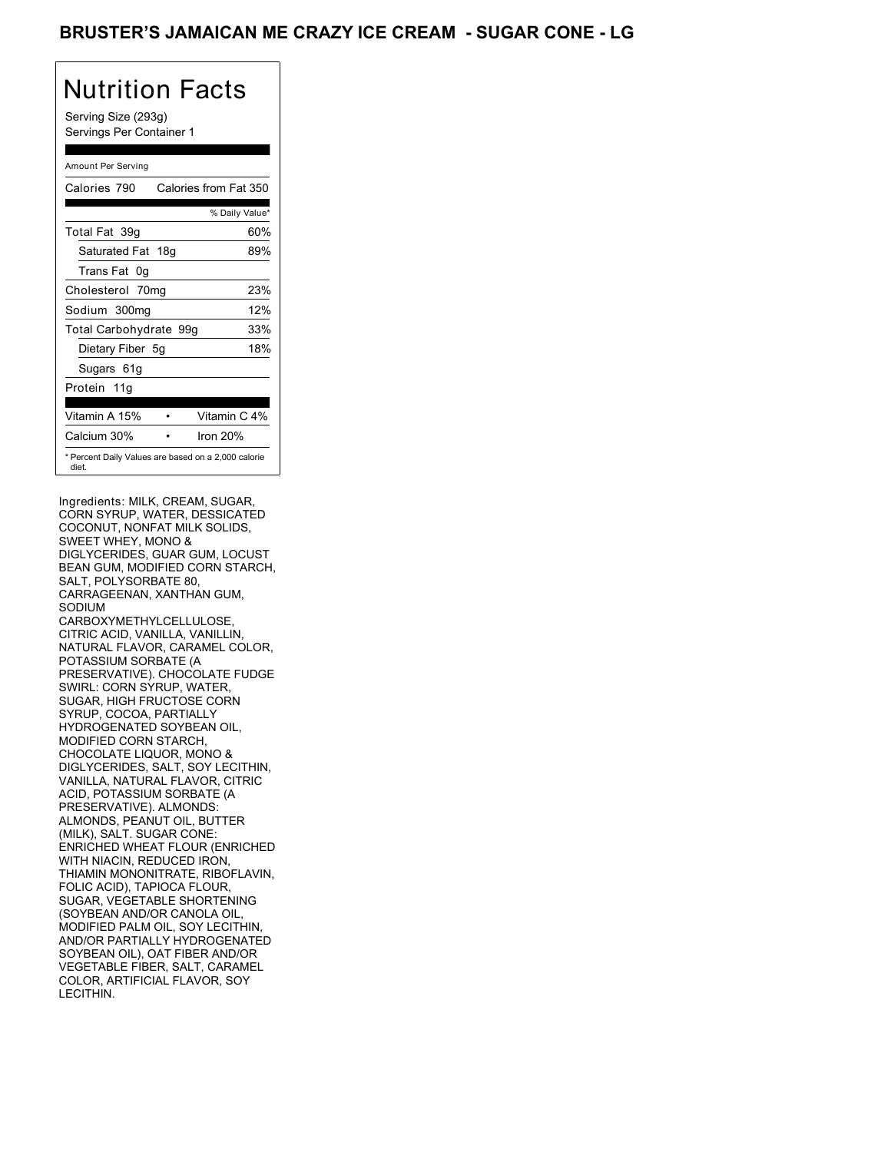Serving Size (293g) Servings Per Container 1

#### Amount Per Serving

| Calories 790                                                 | Calories from Fat 350 |
|--------------------------------------------------------------|-----------------------|
|                                                              | % Daily Value*        |
| Total Fat 39q                                                | 60%                   |
| Saturated Fat 18g                                            | 89%                   |
| Trans Fat 0q                                                 |                       |
| Cholesterol 70mg                                             | 23%                   |
| Sodium 300mg                                                 | 12%                   |
| Total Carbohydrate 99g                                       | 33%                   |
| Dietary Fiber 5g                                             | 18%                   |
| Sugars 61g                                                   |                       |
| Protein 11g                                                  |                       |
| Vitamin A 15%                                                | Vitamin C 4%          |
| Calcium 30%                                                  | Iron $20%$            |
| * Percent Daily Values are based on a 2,000 calorie<br>diet. |                       |

Ingredients: MILK, CREAM, SUGAR, CORN SYRUP, WATER, DESSICATED COCONUT, NONFAT MILK SOLIDS, SWEET WHEY, MONO & DIGLYCERIDES, GUAR GUM, LOCUST BEAN GUM, MODIFIED CORN STARCH, SALT, POLYSORBATE 80, CARRAGEENAN, XANTHAN GUM, SODIUM CARBOXYMETHYLCELLULOSE, CITRIC ACID, VANILLA, VANILLIN, NATURAL FLAVOR, CARAMEL COLOR, POTASSIUM SORBATE (A PRESERVATIVE). CHOCOLATE FUDGE SWIRL: CORN SYRUP, WATER, SUGAR, HIGH FRUCTOSE CORN SYRUP, COCOA, PARTIALLY HYDROGENATED SOYBEAN OIL, MODIFIED CORN STARCH, CHOCOLATE LIQUOR, MONO & DIGLYCERIDES, SALT, SOY LECITHIN, VANILLA, NATURAL FLAVOR, CITRIC ACID, POTASSIUM SORBATE (A PRESERVATIVE). ALMONDS: ALMONDS, PEANUT OIL, BUTTER (MILK), SALT. SUGAR CONE: ENRICHED WHEAT FLOUR (ENRICHED WITH NIACIN, REDUCED IRON. THIAMIN MONONITRATE, RIBOFLAVIN, FOLIC ACID), TAPIOCA FLOUR, SUGAR, VEGETABLE SHORTENING (SOYBEAN AND/OR CANOLA OIL, MODIFIED PALM OIL, SOY LECITHIN, AND/OR PARTIALLY HYDROGENATED SOYBEAN OIL), OAT FIBER AND/OR VEGETABLE FIBER, SALT, CARAMEL COLOR, ARTIFICIAL FLAVOR, SOY LECITHIN.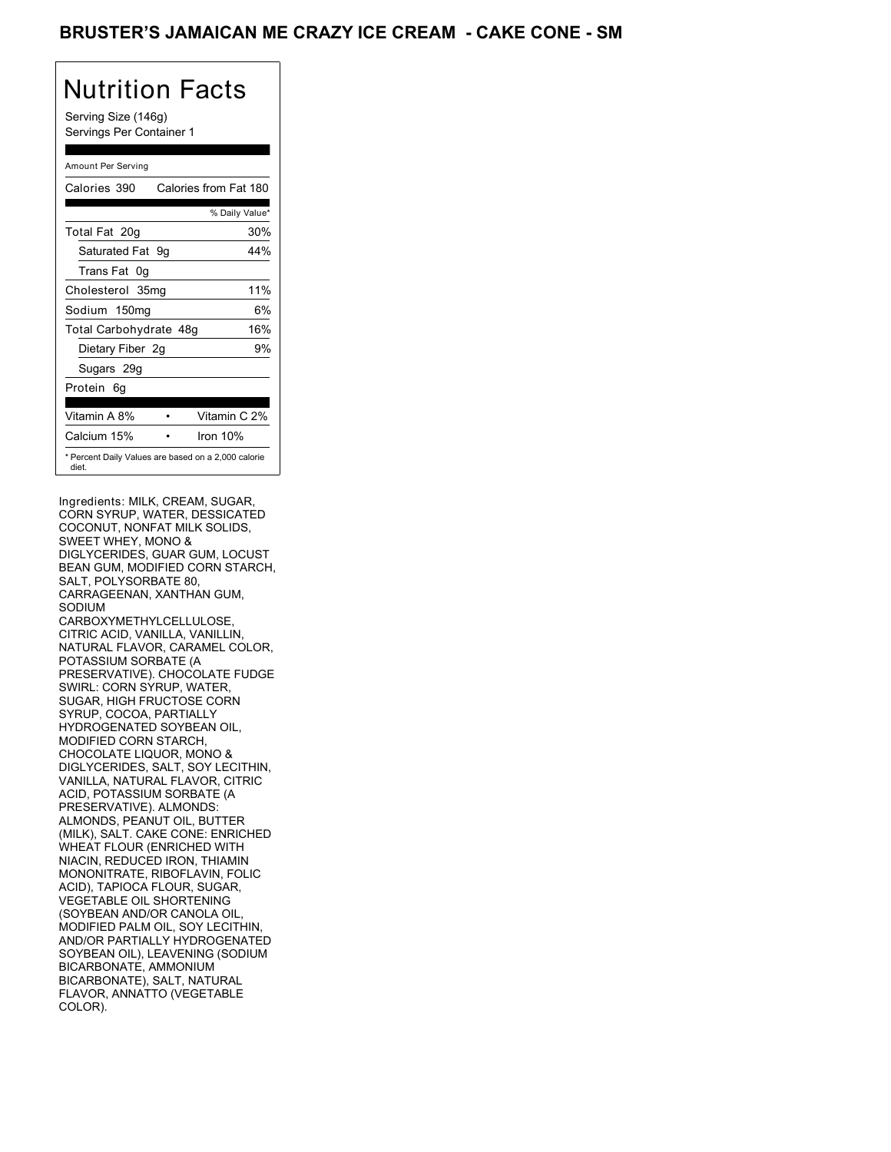Serving Size (146g) Servings Per Container 1

### Amount Per Serving

| Calories 390           | Calories from Fat 180                               |
|------------------------|-----------------------------------------------------|
|                        | % Daily Value*                                      |
| Total Fat 20g          | 30%                                                 |
| Saturated Fat 9g       | 44%                                                 |
| Trans Fat 0q           |                                                     |
| Cholesterol 35mg       | 11%                                                 |
| Sodium 150mg           | 6%                                                  |
| Total Carbohydrate 48g | 16%                                                 |
| Dietary Fiber 2g       | 9%                                                  |
| Sugars 29g             |                                                     |
| Protein 6q             |                                                     |
| Vitamin A 8%           | Vitamin C 2%                                        |
| Calcium 15%            | Iron 10%                                            |
| diet.                  | * Percent Daily Values are based on a 2,000 calorie |

Ingredients: MILK, CREAM, SUGAR, CORN SYRUP, WATER, DESSICATED COCONUT, NONFAT MILK SOLIDS, SWEET WHEY, MONO & DIGLYCERIDES, GUAR GUM, LOCUST BEAN GUM, MODIFIED CORN STARCH, SALT, POLYSORBATE 80, CARRAGEENAN, XANTHAN GUM, SODIUM CARBOXYMETHYLCELLULOSE, CITRIC ACID, VANILLA, VANILLIN, NATURAL FLAVOR, CARAMEL COLOR, POTASSIUM SORBATE (A PRESERVATIVE). CHOCOLATE FUDGE SWIRL: CORN SYRUP, WATER, SUGAR, HIGH FRUCTOSE CORN SYRUP, COCOA, PARTIALLY HYDROGENATED SOYBEAN OIL, MODIFIED CORN STARCH, CHOCOLATE LIQUOR, MONO & DIGLYCERIDES, SALT, SOY LECITHIN, VANILLA, NATURAL FLAVOR, CITRIC ACID, POTASSIUM SORBATE (A PRESERVATIVE). ALMONDS: ALMONDS, PEANUT OIL, BUTTER (MILK), SALT. CAKE CONE: ENRICHED WHEAT FLOUR (ENRICHED WITH NIACIN, REDUCED IRON, THIAMIN MONONITRATE, RIBOFLAVIN, FOLIC ACID), TAPIOCA FLOUR, SUGAR, VEGETABLE OIL SHORTENING (SOYBEAN AND/OR CANOLA OIL, MODIFIED PALM OIL, SOY LECITHIN, AND/OR PARTIALLY HYDROGENATED SOYBEAN OIL), LEAVENING (SODIUM BICARBONATE, AMMONIUM BICARBONATE), SALT, NATURAL FLAVOR, ANNATTO (VEGETABLE COLOR).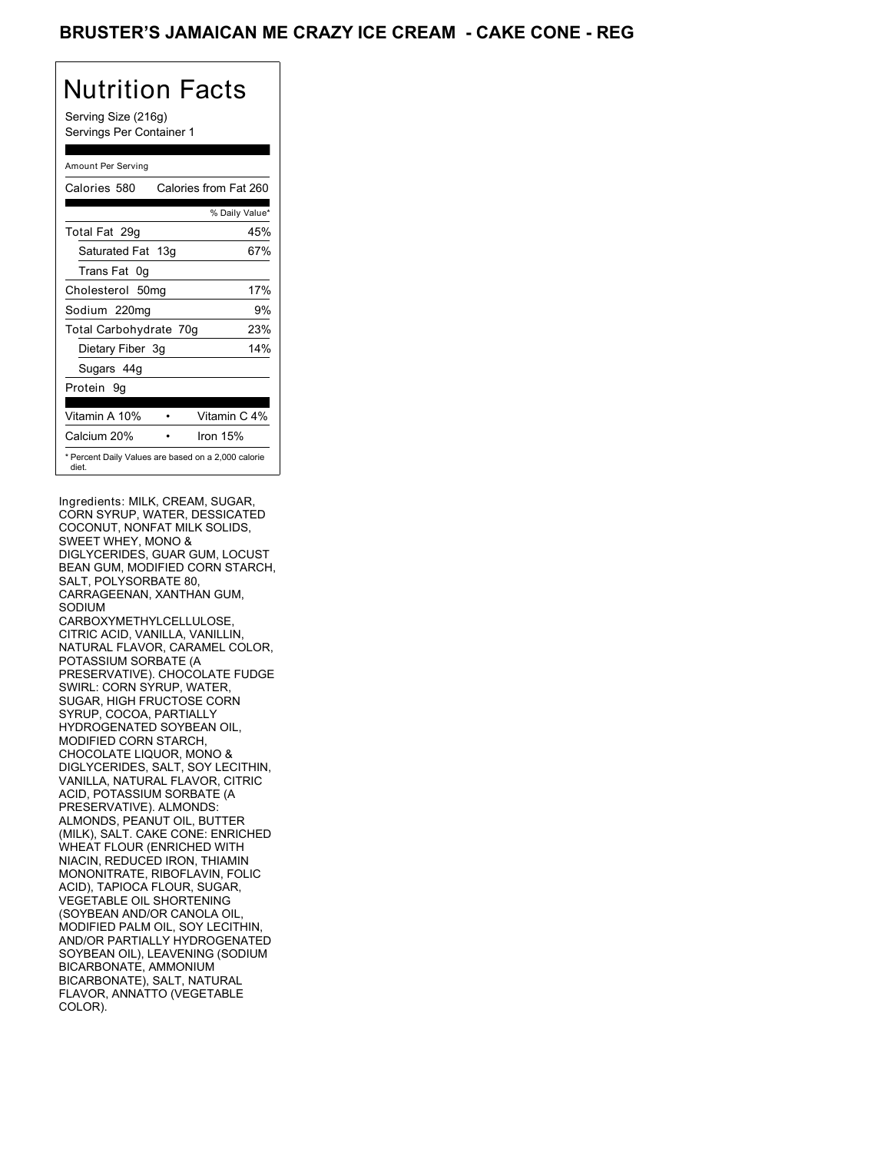Serving Size (216g) Servings Per Container 1

#### Amount Per Serving

| Calories 580           | Calories from Fat 260                               |
|------------------------|-----------------------------------------------------|
|                        | % Daily Value*                                      |
| Total Fat 29q          | 45%                                                 |
| Saturated Fat 13g      | 67%                                                 |
| Trans Fat 0q           |                                                     |
| Cholesterol 50mg       | 17%                                                 |
| Sodium 220mg           | 9%                                                  |
| Total Carbohydrate 70g | 23%                                                 |
| Dietary Fiber 3g       | 14%                                                 |
| Sugars 44g             |                                                     |
| Protein 9q             |                                                     |
| Vitamin A 10%          | Vitamin C 4%                                        |
| Calcium 20%            | Iron $15%$                                          |
| diet.                  | * Percent Daily Values are based on a 2,000 calorie |

Ingredients: MILK, CREAM, SUGAR, CORN SYRUP, WATER, DESSICATED COCONUT, NONFAT MILK SOLIDS, SWEET WHEY, MONO & DIGLYCERIDES, GUAR GUM, LOCUST BEAN GUM, MODIFIED CORN STARCH, SALT, POLYSORBATE 80, CARRAGEENAN, XANTHAN GUM, SODIUM CARBOXYMETHYLCELLULOSE, CITRIC ACID, VANILLA, VANILLIN, NATURAL FLAVOR, CARAMEL COLOR, POTASSIUM SORBATE (A PRESERVATIVE). CHOCOLATE FUDGE SWIRL: CORN SYRUP, WATER, SUGAR, HIGH FRUCTOSE CORN SYRUP, COCOA, PARTIALLY HYDROGENATED SOYBEAN OIL, MODIFIED CORN STARCH, CHOCOLATE LIQUOR, MONO & DIGLYCERIDES, SALT, SOY LECITHIN, VANILLA, NATURAL FLAVOR, CITRIC ACID, POTASSIUM SORBATE (A PRESERVATIVE). ALMONDS: ALMONDS, PEANUT OIL, BUTTER (MILK), SALT. CAKE CONE: ENRICHED WHEAT FLOUR (ENRICHED WITH NIACIN, REDUCED IRON, THIAMIN MONONITRATE, RIBOFLAVIN, FOLIC ACID), TAPIOCA FLOUR, SUGAR, VEGETABLE OIL SHORTENING (SOYBEAN AND/OR CANOLA OIL, MODIFIED PALM OIL, SOY LECITHIN, AND/OR PARTIALLY HYDROGENATED SOYBEAN OIL), LEAVENING (SODIUM BICARBONATE, AMMONIUM BICARBONATE), SALT, NATURAL FLAVOR, ANNATTO (VEGETABLE COLOR).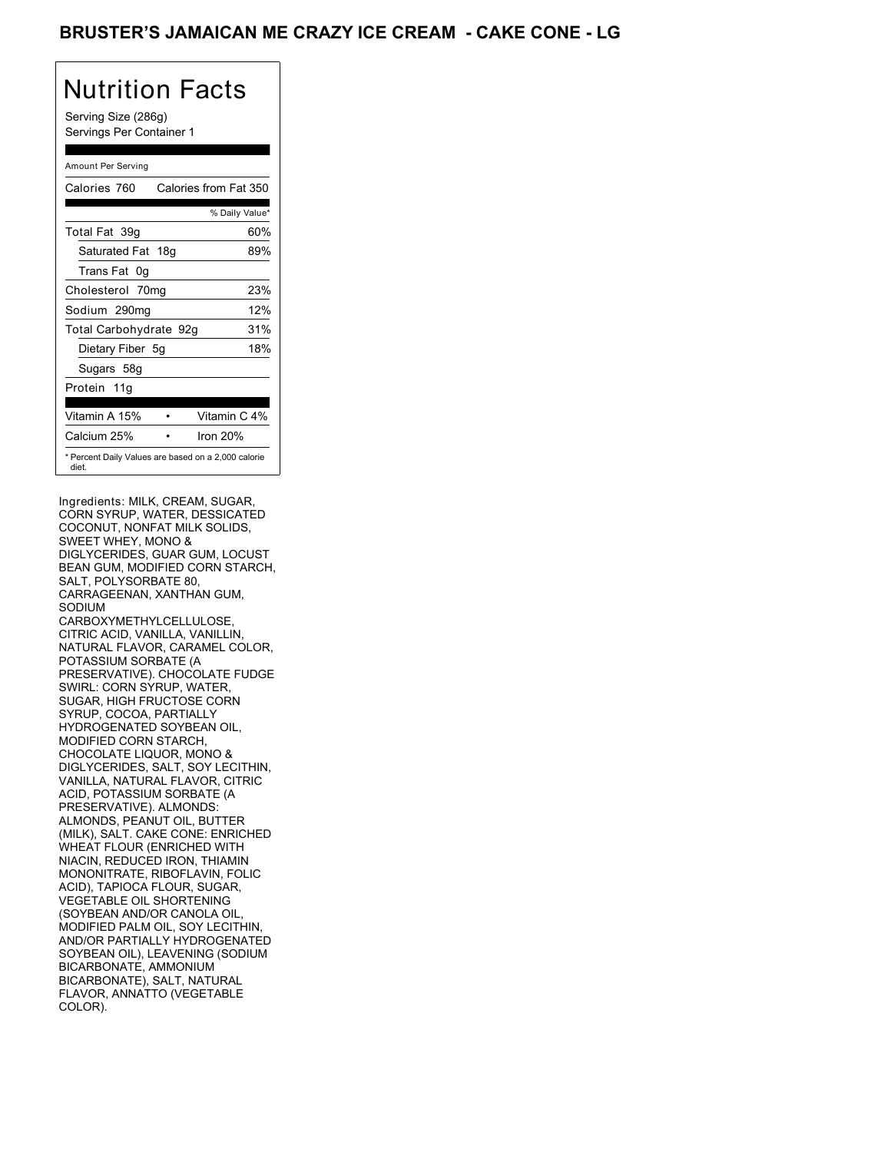Serving Size (286g) Servings Per Container 1

#### Amount Per Serving

| Calories 760           | Calories from Fat 350                               |
|------------------------|-----------------------------------------------------|
|                        | % Daily Value*                                      |
| Total Fat 39q          | 60%                                                 |
| Saturated Fat 18g      | 89%                                                 |
| Trans Fat 0q           |                                                     |
| Cholesterol 70mg       | 23%                                                 |
| Sodium 290mg           | 12%                                                 |
| Total Carbohydrate 92g | 31%                                                 |
| Dietary Fiber 5g       | 18%                                                 |
| Sugars 58g             |                                                     |
| Protein 11g            |                                                     |
|                        |                                                     |
| Vitamin A 15%          | Vitamin C 4%                                        |
| Calcium 25%            | Iron $20%$                                          |
| diet.                  | * Percent Daily Values are based on a 2,000 calorie |

Ingredients: MILK, CREAM, SUGAR, CORN SYRUP, WATER, DESSICATED COCONUT, NONFAT MILK SOLIDS, SWEET WHEY, MONO & DIGLYCERIDES, GUAR GUM, LOCUST BEAN GUM, MODIFIED CORN STARCH, SALT, POLYSORBATE 80, CARRAGEENAN, XANTHAN GUM, SODIUM CARBOXYMETHYLCELLULOSE, CITRIC ACID, VANILLA, VANILLIN, NATURAL FLAVOR, CARAMEL COLOR, POTASSIUM SORBATE (A PRESERVATIVE). CHOCOLATE FUDGE SWIRL: CORN SYRUP, WATER, SUGAR, HIGH FRUCTOSE CORN SYRUP, COCOA, PARTIALLY HYDROGENATED SOYBEAN OIL, MODIFIED CORN STARCH, CHOCOLATE LIQUOR, MONO & DIGLYCERIDES, SALT, SOY LECITHIN, VANILLA, NATURAL FLAVOR, CITRIC ACID, POTASSIUM SORBATE (A PRESERVATIVE). ALMONDS: ALMONDS, PEANUT OIL, BUTTER (MILK), SALT. CAKE CONE: ENRICHED WHEAT FLOUR (ENRICHED WITH NIACIN, REDUCED IRON, THIAMIN MONONITRATE, RIBOFLAVIN, FOLIC ACID), TAPIOCA FLOUR, SUGAR, VEGETABLE OIL SHORTENING (SOYBEAN AND/OR CANOLA OIL, MODIFIED PALM OIL, SOY LECITHIN, AND/OR PARTIALLY HYDROGENATED SOYBEAN OIL), LEAVENING (SODIUM BICARBONATE, AMMONIUM BICARBONATE), SALT, NATURAL FLAVOR, ANNATTO (VEGETABLE COLOR).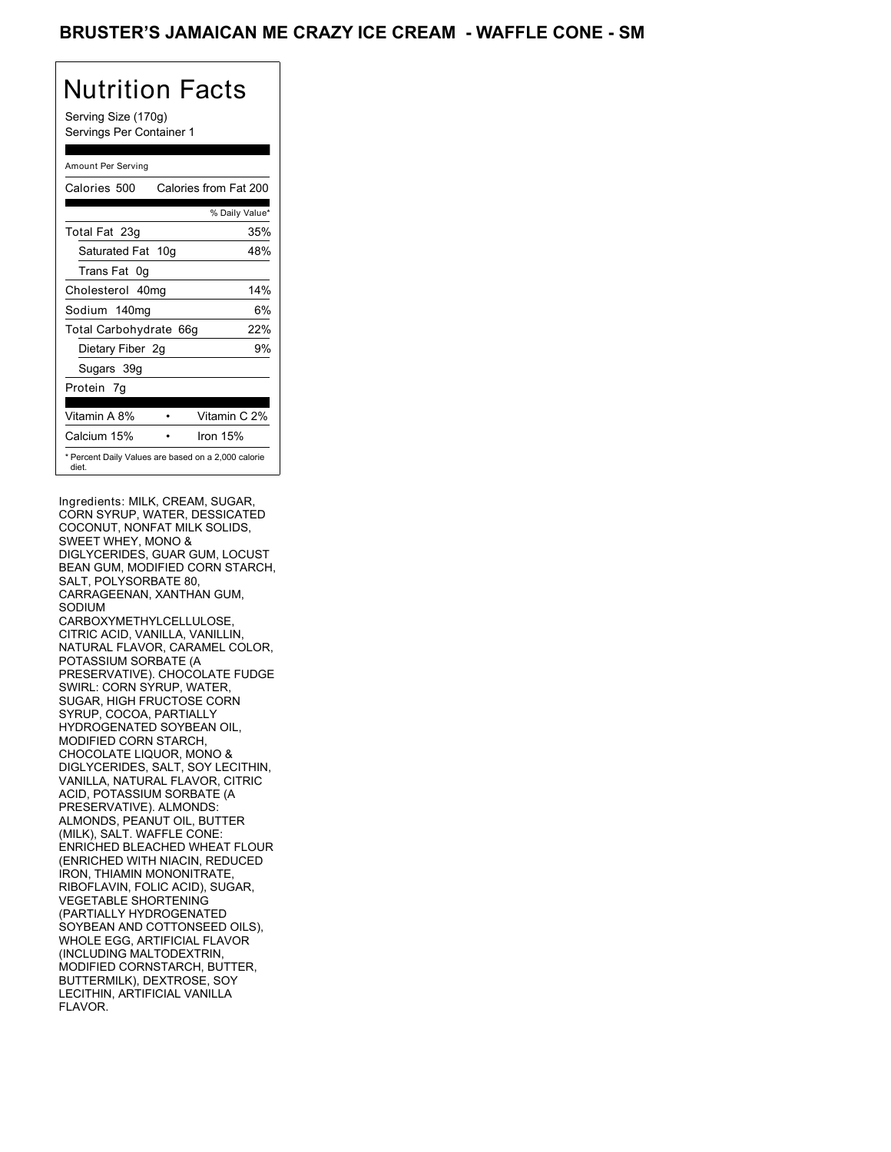Serving Size (170g) Servings Per Container 1

### Amount Per Serving

| Calories 500                                                 | Calories from Fat 200 |
|--------------------------------------------------------------|-----------------------|
|                                                              | % Daily Value*        |
| Total Fat 23g                                                | 35%                   |
| Saturated Fat 10g                                            | 48%                   |
| Trans Fat 0q                                                 |                       |
| Cholesterol 40mg                                             | 14%                   |
| Sodium 140mg                                                 | 6%                    |
| Total Carbohydrate 66g                                       | 22%                   |
| Dietary Fiber 2g                                             | 9%                    |
| Sugars 39g                                                   |                       |
| Protein 7q                                                   |                       |
| Vitamin A 8%                                                 | Vitamin C 2%          |
| Calcium 15%                                                  | Iron 15%              |
| * Percent Daily Values are based on a 2,000 calorie<br>diet. |                       |

Ingredients: MILK, CREAM, SUGAR, CORN SYRUP, WATER, DESSICATED COCONUT, NONFAT MILK SOLIDS, SWEET WHEY, MONO & DIGLYCERIDES, GUAR GUM, LOCUST BEAN GUM, MODIFIED CORN STARCH, SALT, POLYSORBATE 80, CARRAGEENAN, XANTHAN GUM, SODIUM CARBOXYMETHYLCELLULOSE, CITRIC ACID, VANILLA, VANILLIN, NATURAL FLAVOR, CARAMEL COLOR, POTASSIUM SORBATE (A PRESERVATIVE). CHOCOLATE FUDGE SWIRL: CORN SYRUP, WATER, SUGAR, HIGH FRUCTOSE CORN SYRUP, COCOA, PARTIALLY HYDROGENATED SOYBEAN OIL, MODIFIED CORN STARCH, CHOCOLATE LIQUOR, MONO & DIGLYCERIDES, SALT, SOY LECITHIN, VANILLA, NATURAL FLAVOR, CITRIC ACID, POTASSIUM SORBATE (A PRESERVATIVE). ALMONDS: ALMONDS, PEANUT OIL, BUTTER (MILK), SALT. WAFFLE CONE: ENRICHED BLEACHED WHEAT FLOUR (ENRICHED WITH NIACIN, REDUCED IRON, THIAMIN MONONITRATE, RIBOFLAVIN, FOLIC ACID), SUGAR, VEGETABLE SHORTENING (PARTIALLY HYDROGENATED SOYBEAN AND COTTONSEED OILS), WHOLE EGG, ARTIFICIAL FLAVOR (INCLUDING MALTODEXTRIN, MODIFIED CORNSTARCH, BUTTER, BUTTERMILK), DEXTROSE, SOY LECITHIN, ARTIFICIAL VANILLA FLAVOR.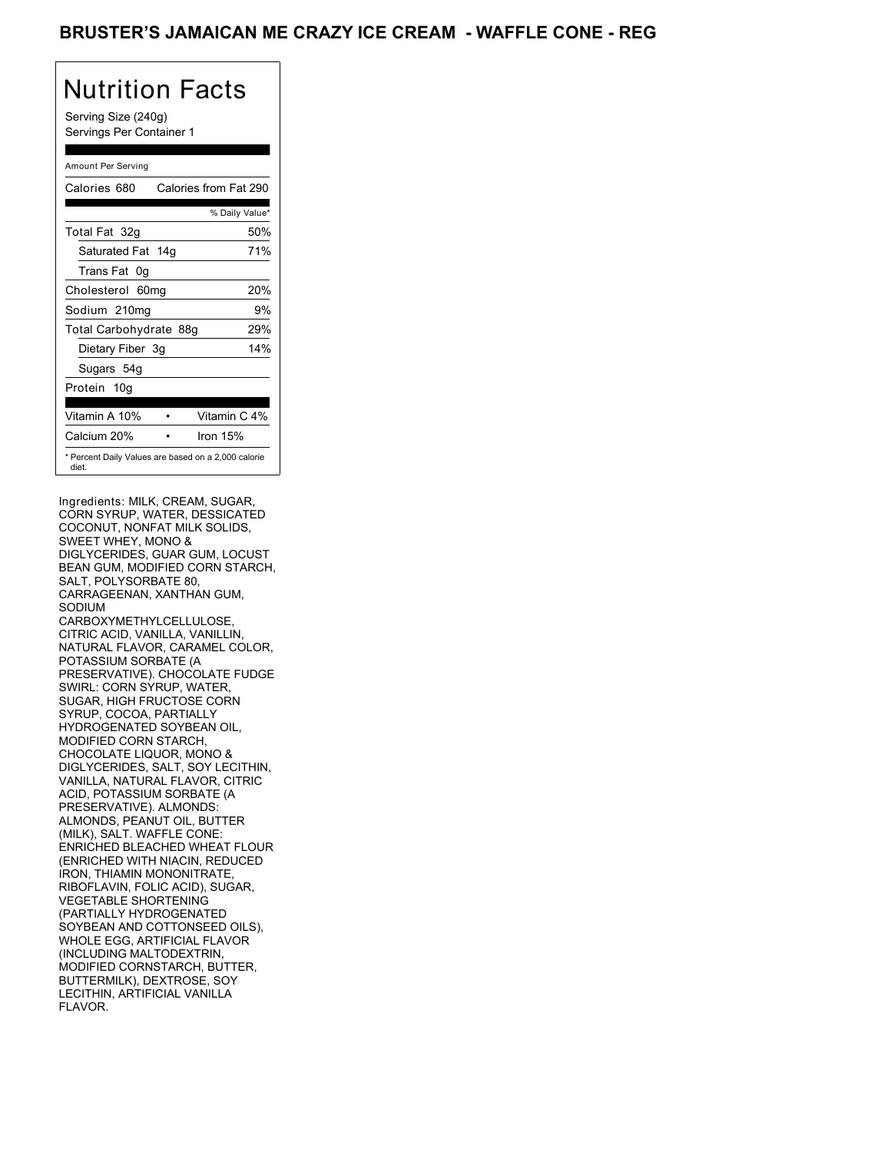Serving Size (240g) Servings Per Container 1

#### Amount Per Serving

| Calories 680                                                 | Calories from Fat 290 |
|--------------------------------------------------------------|-----------------------|
|                                                              | % Daily Value*        |
| Total Fat 32g                                                | 50%                   |
| Saturated Fat 14g                                            | 71%                   |
| Trans Fat 0q                                                 |                       |
| Cholesterol 60mg                                             | 20%                   |
| Sodium 210mg                                                 | 9%                    |
| Total Carbohydrate 88g                                       | 29%                   |
| Dietary Fiber 3g                                             | 14%                   |
| Sugars 54g                                                   |                       |
| Protein 10g                                                  |                       |
| Vitamin A 10%                                                | Vitamin C 4%          |
| Calcium 20%                                                  | Iron 15%              |
| * Percent Daily Values are based on a 2,000 calorie<br>diet. |                       |

Ingredients: MILK, CREAM, SUGAR, CORN SYRUP, WATER, DESSICATED COCONUT, NONFAT MILK SOLIDS, SWEET WHEY, MONO & DIGLYCERIDES, GUAR GUM, LOCUST BEAN GUM, MODIFIED CORN STARCH, SALT, POLYSORBATE 80, CARRAGEENAN, XANTHAN GUM, SODIUM CARBOXYMETHYLCELLULOSE, CITRIC ACID, VANILLA, VANILLIN, NATURAL FLAVOR, CARAMEL COLOR, POTASSIUM SORBATE (A PRESERVATIVE). CHOCOLATE FUDGE SWIRL: CORN SYRUP, WATER, SUGAR, HIGH FRUCTOSE CORN SYRUP, COCOA, PARTIALLY HYDROGENATED SOYBEAN OIL, MODIFIED CORN STARCH, CHOCOLATE LIQUOR, MONO & DIGLYCERIDES, SALT, SOY LECITHIN, VANILLA, NATURAL FLAVOR, CITRIC ACID, POTASSIUM SORBATE (A PRESERVATIVE). ALMONDS: ALMONDS, PEANUT OIL, BUTTER (MILK), SALT. WAFFLE CONE: ENRICHED BLEACHED WHEAT FLOUR (ENRICHED WITH NIACIN, REDUCED IRON, THIAMIN MONONITRATE, RIBOFLAVIN, FOLIC ACID), SUGAR, VEGETABLE SHORTENING (PARTIALLY HYDROGENATED SOYBEAN AND COTTONSEED OILS), WHOLE EGG, ARTIFICIAL FLAVOR (INCLUDING MALTODEXTRIN, MODIFIED CORNSTARCH, BUTTER, BUTTERMILK), DEXTROSE, SOY LECITHIN, ARTIFICIAL VANILLA FLAVOR.